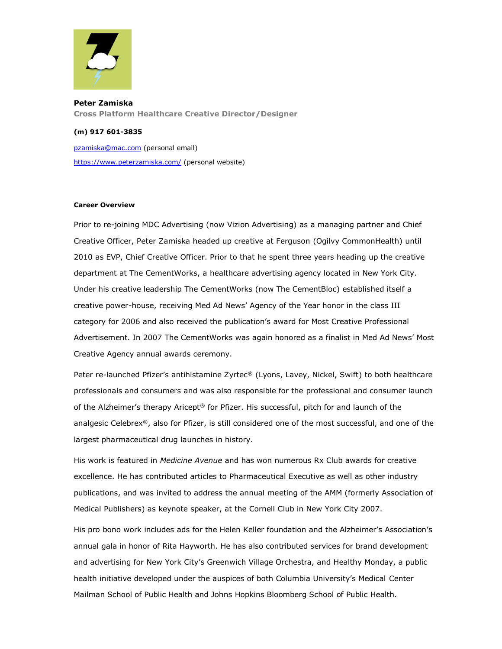

**Peter Zamiska Cross Platform Healthcare Creative Director/Designer**

## **(m) 917 601-3835**

[pzamiska@mac.com](mailto:pzamiska@mac.com) (personal email) <https://www.peterzamiska.com/> (personal website)

## **Career Overview**

Prior to re-joining MDC Advertising (now Vizion Advertising) as a managing partner and Chief Creative Officer, Peter Zamiska headed up creative at Ferguson (Ogilvy CommonHealth) until 2010 as EVP, Chief Creative Officer. Prior to that he spent three years heading up the creative department at The CementWorks, a healthcare advertising agency located in New York City. Under his creative leadership The CementWorks (now The CementBloc) established itself a creative power-house, receiving Med Ad News' Agency of the Year honor in the class III category for 2006 and also received the publication's award for Most Creative Professional Advertisement. In 2007 The CementWorks was again honored as a finalist in Med Ad News' Most Creative Agency annual awards ceremony.

Peter re-launched Pfizer's antihistamine Zyrtec® (Lyons, Lavey, Nickel, Swift) to both healthcare professionals and consumers and was also responsible for the professional and consumer launch of the Alzheimer's therapy Aricept® for Pfizer. His successful, pitch for and launch of the analgesic Celebrex®, also for Pfizer, is still considered one of the most successful, and one of the largest pharmaceutical drug launches in history.

His work is featured in *Medicine Avenue* and has won numerous Rx Club awards for creative excellence. He has contributed articles to Pharmaceutical Executive as well as other industry publications, and was invited to address the annual meeting of the AMM (formerly Association of Medical Publishers) as keynote speaker, at the Cornell Club in New York City 2007.

His pro bono work includes ads for the Helen Keller foundation and the Alzheimer's Association's annual gala in honor of Rita Hayworth. He has also contributed services for brand development and advertising for New York City's Greenwich Village Orchestra, and Healthy Monday, a public health initiative developed under the auspices of both Columbia University's Medical Center Mailman School of Public Health and Johns Hopkins Bloomberg School of Public Health.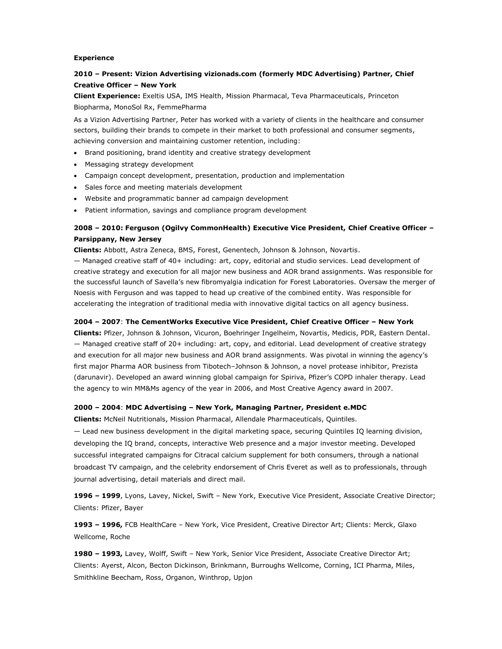#### **Experience**

# **2010 – Present: Vizion Advertising [vizionads.com](http://vizionadvertising.com/) (formerly MDC Advertising) Partner, Chief Creative Officer – New York**

**Client Experience:** Exeltis USA, IMS Health, Mission Pharmacal, Teva Pharmaceuticals, Princeton Biopharma, MonoSol Rx, FemmePharma

As a Vizion Advertising Partner, Peter has worked with a variety of clients in the healthcare and consumer sectors, building their brands to compete in their market to both professional and consumer segments, achieving conversion and maintaining customer retention, including:

- Brand positioning, brand identity and creative strategy development
- Messaging strategy development
- Campaign concept development, presentation, production and implementation
- Sales force and meeting materials development
- Website and programmatic banner ad campaign development
- Patient information, savings and compliance program development

# **2008 – 2010: Ferguson (Ogilvy CommonHealth) Executive Vice President, Chief Creative Officer – Parsippany, New Jersey**

**Clients:** Abbott, Astra Zeneca, BMS, Forest, Genentech, Johnson & Johnson, Novartis.

— Managed creative staff of 40+ including: art, copy, editorial and studio services. Lead development of creative strategy and execution for all major new business and AOR brand assignments. Was responsible for the successful launch of Savella's new fibromyalgia indication for Forest Laboratories. Oversaw the merger of Noesis with Ferguson and was tapped to head up creative of the combined entity. Was responsible for accelerating the integration of traditional media with innovative digital tactics on all agency business.

#### **2004 – 2007**: **The CementWorks Executive Vice President, Chief Creative Officer – New York**

**Clients:** Pfizer, Johnson & Johnson, Vicuron, Boehringer Ingelheim, Novartis, Medicis, PDR, Eastern Dental. — Managed creative staff of 20+ including: art, copy, and editorial. Lead development of creative strategy and execution for all major new business and AOR brand assignments. Was pivotal in winning the agency's first major Pharma AOR business from Tibotech–Johnson & Johnson, a novel protease inhibitor, Prezista (darunavir). Developed an award winning global campaign for Spiriva, Pfizer's COPD inhaler therapy. Lead the agency to win MM&Ms agency of the year in 2006, and Most Creative Agency award in 2007.

#### **2000 – 2004**: **MDC Advertising – New York, Managing Partner, President e.MDC**

**Clients:** McNeil Nutritionals, Mission Pharmacal, Allendale Pharmaceuticals, Quintiles.

— Lead new business development in the digital marketing space, securing Quintiles IQ learning division, developing the IQ brand, concepts, interactive Web presence and a major investor meeting. Developed successful integrated campaigns for Citracal calcium supplement for both consumers, through a national broadcast TV campaign, and the celebrity endorsement of Chris Everet as well as to professionals, through journal advertising, detail materials and direct mail.

**1996 – 1999**, Lyons, Lavey, Nickel, Swift – New York, Executive Vice President, Associate Creative Director; Clients: Pfizer, Bayer

**1993 – 1996,** FCB HealthCare – New York, Vice President, Creative Director Art; Clients: Merck, Glaxo Wellcome, Roche

**1980 – 1993,** Lavey, Wolff, Swift – New York, Senior Vice President, Associate Creative Director Art; Clients: Ayerst, Alcon, Becton Dickinson, Brinkmann, Burroughs Wellcome, Corning, ICI Pharma, Miles, Smithkline Beecham, Ross, Organon, Winthrop, Upjon